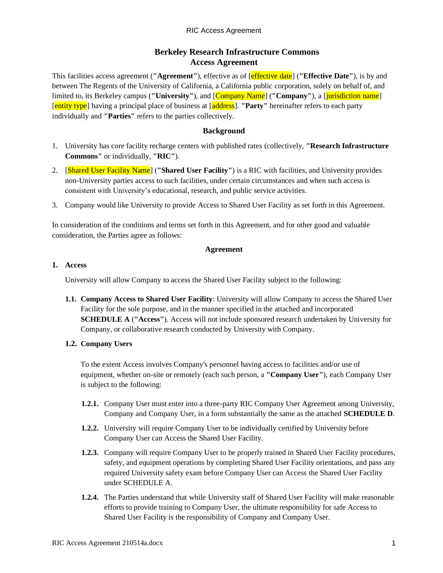# **Berkeley Research Infrastructure Commons Access Agreement**

This facilities access agreement (**"Agreement"**), effective as of [effective date] (**"Effective Date"**), is by and between The Regents of the University of California, a California public corporation, solely on behalf of, and limited to, its Berkeley campus ("University"), and  $[Company \ Name]$  ("Company"), a *[jurisdiction name*] [entity type] having a principal place of business at [address]. **"Party"** hereinafter refers to each party individually and **"Parties"** refers to the parties collectively.

#### **Background**

- 1. University has core facility recharge centers with published rates (collectively, **"Research Infrastructure Commons"** or individually, **"RIC"**).
- 2. [Shared User Facility Name] (**"Shared User Facility"**) is a RIC with facilities, and University provides non-University parties access to such facilities, under certain circumstances and when such access is consistent with University's educational, research, and public service activities.
- 3. Company would like University to provide Access to Shared User Facility as set forth in this Agreement.

In consideration of the conditions and terms set forth in this Agreement, and for other good and valuable consideration, the Parties agree as follows:

#### **Agreement**

#### **1. Access**

University will allow Company to access the Shared User Facility subject to the following:

**1.1. Company Access to Shared User Facility**: University will allow Company to access the Shared User Facility for the sole purpose, and in the manner specified in the attached and incorporated **SCHEDULE A** (**"Access"**). Access will not include sponsored research undertaken by University for Company, or collaborative research conducted by University with Company.

#### **1.2. Company Users**

To the extent Access involves Company's personnel having access to facilities and/or use of equipment, whether on-site or remotely (each such person, a **"Company User"**), each Company User is subject to the following:

- **1.2.1.** Company User must enter into a three-party RIC Company User Agreement among University, Company and Company User, in a form substantially the same as the attached **SCHEDULE D**.
- **1.2.2.** University will require Company User to be individually certified by University before Company User can Access the Shared User Facility.
- **1.2.3.** Company will require Company User to be properly trained in Shared User Facility procedures, safety, and equipment operations by completing Shared User Facility orientations, and pass any required University safety exam before Company User can Access the Shared User Facility under SCHEDULE A.
- **1.2.4.** The Parties understand that while University staff of Shared User Facility will make reasonable efforts to provide training to Company User, the ultimate responsibility for safe Access to Shared User Facility is the responsibility of Company and Company User.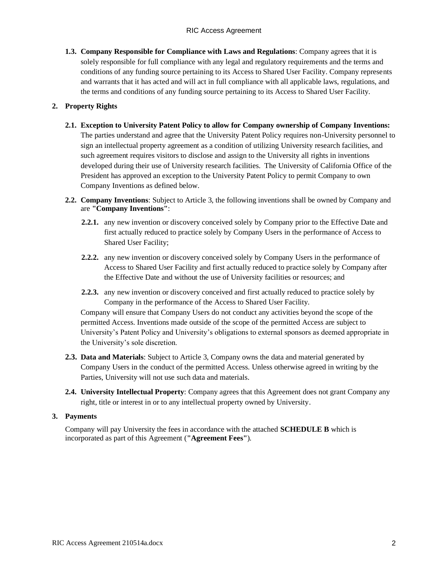**1.3. Company Responsible for Compliance with Laws and Regulations**: Company agrees that it is solely responsible for full compliance with any legal and regulatory requirements and the terms and conditions of any funding source pertaining to its Access to Shared User Facility. Company represents and warrants that it has acted and will act in full compliance with all applicable laws, regulations, and the terms and conditions of any funding source pertaining to its Access to Shared User Facility.

# **2. Property Rights**

- **2.1. Exception to University Patent Policy to allow for Company ownership of Company Inventions:**  The parties understand and agree that the University Patent Policy requires non-University personnel to sign an intellectual property agreement as a condition of utilizing University research facilities, and such agreement requires visitors to disclose and assign to the University all rights in inventions developed during their use of University research facilities. The University of California Office of the President has approved an exception to the University Patent Policy to permit Company to own Company Inventions as defined below.
- **2.2. Company Inventions**: Subject to Article 3, the following inventions shall be owned by Company and are **"Company Inventions"**:
	- **2.2.1.** any new invention or discovery conceived solely by Company prior to the Effective Date and first actually reduced to practice solely by Company Users in the performance of Access to Shared User Facility;
	- **2.2.2.** any new invention or discovery conceived solely by Company Users in the performance of Access to Shared User Facility and first actually reduced to practice solely by Company after the Effective Date and without the use of University facilities or resources; and
	- **2.2.3.** any new invention or discovery conceived and first actually reduced to practice solely by Company in the performance of the Access to Shared User Facility.

Company will ensure that Company Users do not conduct any activities beyond the scope of the permitted Access. Inventions made outside of the scope of the permitted Access are subject to University's Patent Policy and University's obligations to external sponsors as deemed appropriate in the University's sole discretion.

- **2.3. Data and Materials**: Subject to Article 3, Company owns the data and material generated by Company Users in the conduct of the permitted Access. Unless otherwise agreed in writing by the Parties, University will not use such data and materials.
- **2.4. University Intellectual Property**: Company agrees that this Agreement does not grant Company any right, title or interest in or to any intellectual property owned by University.

#### **3. Payments**

Company will pay University the fees in accordance with the attached **SCHEDULE B** which is incorporated as part of this Agreement (**"Agreement Fees"**).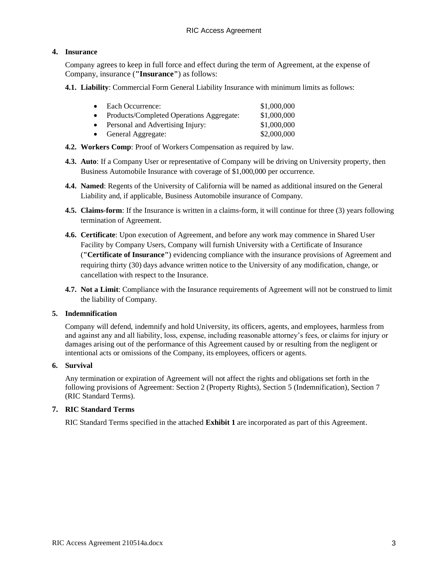### **4. Insurance**

Company agrees to keep in full force and effect during the term of Agreement, at the expense of Company, insurance (**"Insurance"**) as follows:

**4.1. Liability**: Commercial Form General Liability Insurance with minimum limits as follows:

| $\bullet$ | Each Occurrence:                         | \$1,000,000 |
|-----------|------------------------------------------|-------------|
|           | Products/Completed Operations Aggregate: | \$1,000,000 |
|           | Personal and Advertising Injury:         | \$1,000,000 |
|           | General Aggregate:                       | \$2,000,000 |

- **4.2. Workers Comp**: Proof of Workers Compensation as required by law.
- **4.3. Auto**: If a Company User or representative of Company will be driving on University property, then Business Automobile Insurance with coverage of \$1,000,000 per occurrence.
- **4.4. Named**: Regents of the University of California will be named as additional insured on the General Liability and, if applicable, Business Automobile insurance of Company.
- **4.5. Claims-form**: If the Insurance is written in a claims-form, it will continue for three (3) years following termination of Agreement.
- **4.6. Certificate**: Upon execution of Agreement, and before any work may commence in Shared User Facility by Company Users, Company will furnish University with a Certificate of Insurance (**"Certificate of Insurance"**) evidencing compliance with the insurance provisions of Agreement and requiring thirty (30) days advance written notice to the University of any modification, change, or cancellation with respect to the Insurance.
- **4.7. Not a Limit**: Compliance with the Insurance requirements of Agreement will not be construed to limit the liability of Company.

#### **5. Indemnification**

Company will defend, indemnify and hold University, its officers, agents, and employees, harmless from and against any and all liability, loss, expense, including reasonable attorney's fees, or claims for injury or damages arising out of the performance of this Agreement caused by or resulting from the negligent or intentional acts or omissions of the Company, its employees, officers or agents.

#### **6. Survival**

Any termination or expiration of Agreement will not affect the rights and obligations set forth in the following provisions of Agreement: Section 2 (Property Rights), Section 5 (Indemnification), Section 7 (RIC Standard Terms).

#### **7. RIC Standard Terms**

RIC Standard Terms specified in the attached **Exhibit 1** are incorporated as part of this Agreement.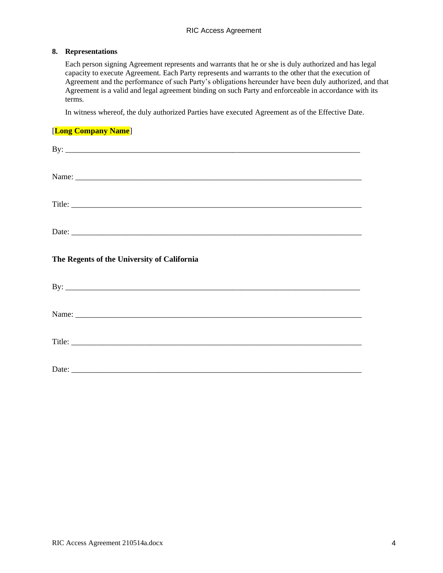#### **8. Representations**

Each person signing Agreement represents and warrants that he or she is duly authorized and has legal capacity to execute Agreement. Each Party represents and warrants to the other that the execution of Agreement and the performance of such Party's obligations hereunder have been duly authorized, and that Agreement is a valid and legal agreement binding on such Party and enforceable in accordance with its terms.

In witness whereof, the duly authorized Parties have executed Agreement as of the Effective Date.

#### [**Long Company Name**]

|                                             | By: $\overline{\phantom{a}}$ |  |  |  |  |
|---------------------------------------------|------------------------------|--|--|--|--|
|                                             |                              |  |  |  |  |
|                                             | Title:                       |  |  |  |  |
| Date:                                       |                              |  |  |  |  |
| The Regents of the University of California |                              |  |  |  |  |
|                                             |                              |  |  |  |  |
|                                             |                              |  |  |  |  |
|                                             |                              |  |  |  |  |
|                                             | Title:                       |  |  |  |  |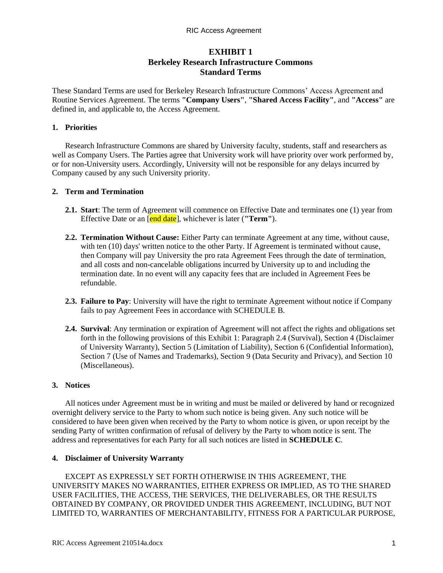# **EXHIBIT 1 Berkeley Research Infrastructure Commons Standard Terms**

These Standard Terms are used for Berkeley Research Infrastructure Commons' Access Agreement and Routine Services Agreement. The terms **"Company Users"**, **"Shared Access Facility"**, and **"Access"** are defined in, and applicable to, the Access Agreement.

#### **1. Priorities**

Research Infrastructure Commons are shared by University faculty, students, staff and researchers as well as Company Users. The Parties agree that University work will have priority over work performed by, or for non-University users. Accordingly, University will not be responsible for any delays incurred by Company caused by any such University priority.

### **2. Term and Termination**

- **2.1. Start**: The term of Agreement will commence on Effective Date and terminates one (1) year from Effective Date or an [end date], whichever is later (**"Term"**).
- **2.2. Termination Without Cause:** Either Party can terminate Agreement at any time, without cause, with ten (10) days' written notice to the other Party. If Agreement is terminated without cause, then Company will pay University the pro rata Agreement Fees through the date of termination, and all costs and non-cancelable obligations incurred by University up to and including the termination date. In no event will any capacity fees that are included in Agreement Fees be refundable.
- **2.3. Failure to Pay**: University will have the right to terminate Agreement without notice if Company fails to pay Agreement Fees in accordance with SCHEDULE B.
- **2.4. Survival**: Any termination or expiration of Agreement will not affect the rights and obligations set forth in the following provisions of this Exhibit 1: Paragraph 2.4 (Survival), Section 4 (Disclaimer of University Warranty), Section 5 (Limitation of Liability), Section 6 (Confidential Information), Section 7 (Use of Names and Trademarks), Section 9 (Data Security and Privacy), and Section 10 (Miscellaneous).

#### **3. Notices**

All notices under Agreement must be in writing and must be mailed or delivered by hand or recognized overnight delivery service to the Party to whom such notice is being given. Any such notice will be considered to have been given when received by the Party to whom notice is given, or upon receipt by the sending Party of written confirmation of refusal of delivery by the Party to whom notice is sent. The address and representatives for each Party for all such notices are listed in **SCHEDULE C**.

## **4. Disclaimer of University Warranty**

EXCEPT AS EXPRESSLY SET FORTH OTHERWISE IN THIS AGREEMENT, THE UNIVERSITY MAKES NO WARRANTIES, EITHER EXPRESS OR IMPLIED, AS TO THE SHARED USER FACILITIES, THE ACCESS, THE SERVICES, THE DELIVERABLES, OR THE RESULTS OBTAINED BY COMPANY, OR PROVIDED UNDER THIS AGREEMENT, INCLUDING, BUT NOT LIMITED TO, WARRANTIES OF MERCHANTABILITY, FITNESS FOR A PARTICULAR PURPOSE,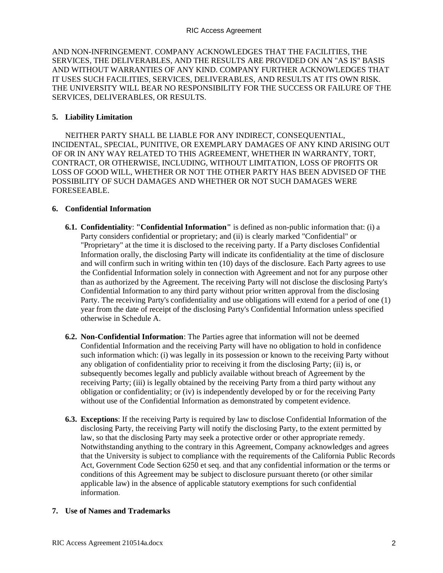AND NON-INFRINGEMENT. COMPANY ACKNOWLEDGES THAT THE FACILITIES, THE SERVICES, THE DELIVERABLES, AND THE RESULTS ARE PROVIDED ON AN "AS IS" BASIS AND WITHOUT WARRANTIES OF ANY KIND. COMPANY FURTHER ACKNOWLEDGES THAT IT USES SUCH FACILITIES, SERVICES, DELIVERABLES, AND RESULTS AT ITS OWN RISK. THE UNIVERSITY WILL BEAR NO RESPONSIBILITY FOR THE SUCCESS OR FAILURE OF THE SERVICES, DELIVERABLES, OR RESULTS.

### **5. Liability Limitation**

NEITHER PARTY SHALL BE LIABLE FOR ANY INDIRECT, CONSEQUENTIAL, INCIDENTAL, SPECIAL, PUNITIVE, OR EXEMPLARY DAMAGES OF ANY KIND ARISING OUT OF OR IN ANY WAY RELATED TO THIS AGREEMENT, WHETHER IN WARRANTY, TORT, CONTRACT, OR OTHERWISE, INCLUDING, WITHOUT LIMITATION, LOSS OF PROFITS OR LOSS OF GOOD WILL, WHETHER OR NOT THE OTHER PARTY HAS BEEN ADVISED OF THE POSSIBILITY OF SUCH DAMAGES AND WHETHER OR NOT SUCH DAMAGES WERE FORESEEABLE.

### **6. Confidential Information**

- **6.1. Confidentiality**: **"Confidential Information"** is defined as non-public information that: (i) a Party considers confidential or proprietary; and (ii) is clearly marked "Confidential" or "Proprietary" at the time it is disclosed to the receiving party. If a Party discloses Confidential Information orally, the disclosing Party will indicate its confidentiality at the time of disclosure and will confirm such in writing within ten (10) days of the disclosure. Each Party agrees to use the Confidential Information solely in connection with Agreement and not for any purpose other than as authorized by the Agreement. The receiving Party will not disclose the disclosing Party's Confidential Information to any third party without prior written approval from the disclosing Party. The receiving Party's confidentiality and use obligations will extend for a period of one (1) year from the date of receipt of the disclosing Party's Confidential Information unless specified otherwise in Schedule A.
- **6.2. Non-Confidential Information**: The Parties agree that information will not be deemed Confidential Information and the receiving Party will have no obligation to hold in confidence such information which: (i) was legally in its possession or known to the receiving Party without any obligation of confidentiality prior to receiving it from the disclosing Party; (ii) is, or subsequently becomes legally and publicly available without breach of Agreement by the receiving Party; (iii) is legally obtained by the receiving Party from a third party without any obligation or confidentiality; or (iv) is independently developed by or for the receiving Party without use of the Confidential Information as demonstrated by competent evidence.
- **6.3. Exceptions**: If the receiving Party is required by law to disclose Confidential Information of the disclosing Party, the receiving Party will notify the disclosing Party, to the extent permitted by law, so that the disclosing Party may seek a protective order or other appropriate remedy. Notwithstanding anything to the contrary in this Agreement, Company acknowledges and agrees that the University is subject to compliance with the requirements of the California Public Records Act, Government Code Section 6250 et seq. and that any confidential information or the terms or conditions of this Agreement may be subject to disclosure pursuant thereto (or other similar applicable law) in the absence of applicable statutory exemptions for such confidential information.

## **7. Use of Names and Trademarks**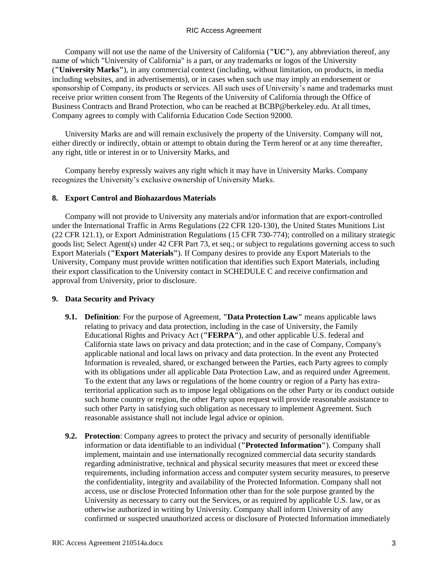Company will not use the name of the University of California (**"UC"**), any abbreviation thereof, any name of which "University of California" is a part, or any trademarks or logos of the University (**"University Marks"**), in any commercial context (including, without limitation, on products, in media including websites, and in advertisements), or in cases when such use may imply an endorsement or sponsorship of Company, its products or services. All such uses of University's name and trademarks must receive prior written consent from The Regents of the University of California through the Office of Business Contracts and Brand Protection, who can be reached at BCBP@berkeley.edu. At all times, Company agrees to comply with California Education Code Section 92000.

University Marks are and will remain exclusively the property of the University. Company will not, either directly or indirectly, obtain or attempt to obtain during the Term hereof or at any time thereafter, any right, title or interest in or to University Marks, and

Company hereby expressly waives any right which it may have in University Marks. Company recognizes the University's exclusive ownership of University Marks.

#### **8. Export Control and Biohazardous Materials**

Company will not provide to University any materials and/or information that are export-controlled under the International Traffic in Arms Regulations (22 CFR 120-130), the United States Munitions List (22 CFR 121.1), or Export Administration Regulations (15 CFR 730-774); controlled on a military strategic goods list; Select Agent(s) under 42 CFR Part 73, et seq.; or subject to regulations governing access to such Export Materials (**"Export Materials"**). If Company desires to provide any Export Materials to the University, Company must provide written notification that identifies such Export Materials, including their export classification to the University contact in SCHEDULE C and receive confirmation and approval from University, prior to disclosure.

#### **9. Data Security and Privacy**

- **9.1. Definition**: For the purpose of Agreement, **"Data Protection Law"** means applicable laws relating to privacy and data protection, including in the case of University, the Family Educational Rights and Privacy Act (**"FERPA"**), and other applicable U.S. federal and California state laws on privacy and data protection; and in the case of Company, Company's applicable national and local laws on privacy and data protection. In the event any Protected Information is revealed, shared, or exchanged between the Parties, each Party agrees to comply with its obligations under all applicable Data Protection Law, and as required under Agreement. To the extent that any laws or regulations of the home country or region of a Party has extraterritorial application such as to impose legal obligations on the other Party or its conduct outside such home country or region, the other Party upon request will provide reasonable assistance to such other Party in satisfying such obligation as necessary to implement Agreement. Such reasonable assistance shall not include legal advice or opinion.
- **9.2. Protection**: Company agrees to protect the privacy and security of personally identifiable information or data identifiable to an individual (**"Protected Information"**). Company shall implement, maintain and use internationally recognized commercial data security standards regarding administrative, technical and physical security measures that meet or exceed these requirements, including information access and computer system security measures, to preserve the confidentiality, integrity and availability of the Protected Information. Company shall not access, use or disclose Protected Information other than for the sole purpose granted by the University as necessary to carry out the Services, or as required by applicable U.S. law, or as otherwise authorized in writing by University. Company shall inform University of any confirmed or suspected unauthorized access or disclosure of Protected Information immediately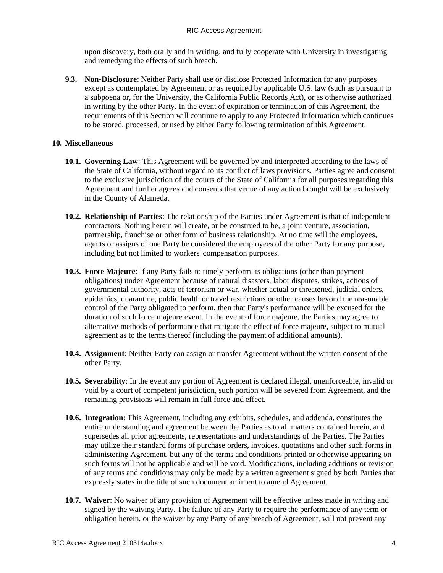upon discovery, both orally and in writing, and fully cooperate with University in investigating and remedying the effects of such breach.

**9.3. Non-Disclosure**: Neither Party shall use or disclose Protected Information for any purposes except as contemplated by Agreement or as required by applicable U.S. law (such as pursuant to a subpoena or, for the University, the California Public Records Act), or as otherwise authorized in writing by the other Party. In the event of expiration or termination of this Agreement, the requirements of this Section will continue to apply to any Protected Information which continues to be stored, processed, or used by either Party following termination of this Agreement.

#### **10. Miscellaneous**

- **10.1. Governing Law**: This Agreement will be governed by and interpreted according to the laws of the State of California, without regard to its conflict of laws provisions. Parties agree and consent to the exclusive jurisdiction of the courts of the State of California for all purposes regarding this Agreement and further agrees and consents that venue of any action brought will be exclusively in the County of Alameda.
- **10.2. Relationship of Parties**: The relationship of the Parties under Agreement is that of independent contractors. Nothing herein will create, or be construed to be, a joint venture, association, partnership, franchise or other form of business relationship. At no time will the employees, agents or assigns of one Party be considered the employees of the other Party for any purpose, including but not limited to workers' compensation purposes.
- **10.3. Force Majeure**: If any Party fails to timely perform its obligations (other than payment obligations) under Agreement because of natural disasters, labor disputes, strikes, actions of governmental authority, acts of terrorism or war, whether actual or threatened, judicial orders, epidemics, quarantine, public health or travel restrictions or other causes beyond the reasonable control of the Party obligated to perform, then that Party's performance will be excused for the duration of such force majeure event. In the event of force majeure, the Parties may agree to alternative methods of performance that mitigate the effect of force majeure, subject to mutual agreement as to the terms thereof (including the payment of additional amounts).
- **10.4. Assignment**: Neither Party can assign or transfer Agreement without the written consent of the other Party.
- **10.5. Severability**: In the event any portion of Agreement is declared illegal, unenforceable, invalid or void by a court of competent jurisdiction, such portion will be severed from Agreement, and the remaining provisions will remain in full force and effect.
- **10.6. Integration**: This Agreement, including any exhibits, schedules, and addenda, constitutes the entire understanding and agreement between the Parties as to all matters contained herein, and supersedes all prior agreements, representations and understandings of the Parties. The Parties may utilize their standard forms of purchase orders, invoices, quotations and other such forms in administering Agreement, but any of the terms and conditions printed or otherwise appearing on such forms will not be applicable and will be void. Modifications, including additions or revision of any terms and conditions may only be made by a written agreement signed by both Parties that expressly states in the title of such document an intent to amend Agreement.
- **10.7. Waiver**: No waiver of any provision of Agreement will be effective unless made in writing and signed by the waiving Party. The failure of any Party to require the performance of any term or obligation herein, or the waiver by any Party of any breach of Agreement, will not prevent any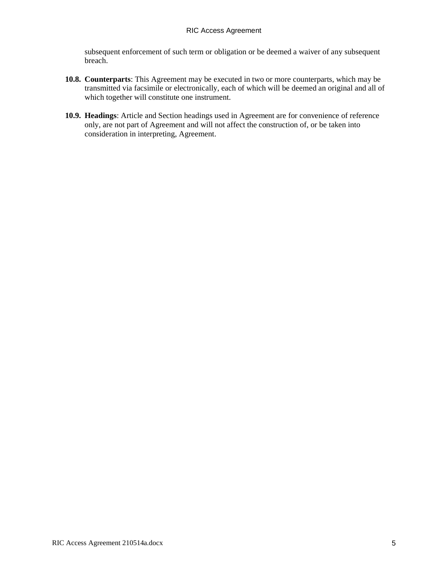subsequent enforcement of such term or obligation or be deemed a waiver of any subsequent breach.

- **10.8. Counterparts**: This Agreement may be executed in two or more counterparts, which may be transmitted via facsimile or electronically, each of which will be deemed an original and all of which together will constitute one instrument.
- **10.9. Headings**: Article and Section headings used in Agreement are for convenience of reference only, are not part of Agreement and will not affect the construction of, or be taken into consideration in interpreting, Agreement.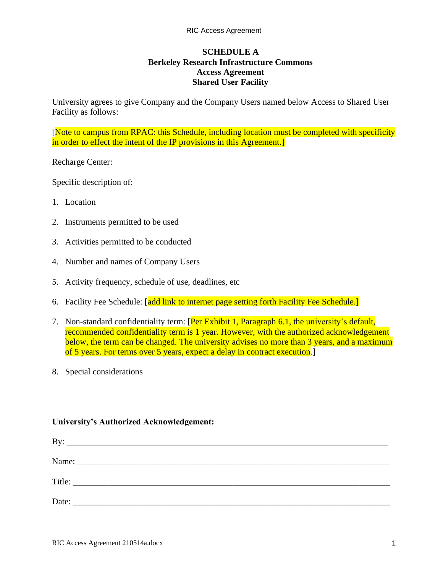# **SCHEDULE A Berkeley Research Infrastructure Commons Access Agreement Shared User Facility**

University agrees to give Company and the Company Users named below Access to Shared User Facility as follows:

[Note to campus from RPAC: this Schedule, including location must be completed with specificity in order to effect the intent of the IP provisions in this Agreement.]

Recharge Center:

Specific description of:

- 1. Location
- 2. Instruments permitted to be used
- 3. Activities permitted to be conducted
- 4. Number and names of Company Users
- 5. Activity frequency, schedule of use, deadlines, etc
- 6. Facility Fee Schedule: [add link to internet page setting forth Facility Fee Schedule.]
- 7. Non-standard confidentiality term: [Per Exhibit 1, Paragraph 6.1, the university's default, recommended confidentiality term is 1 year. However, with the authorized acknowledgement below, the term can be changed. The university advises no more than 3 years, and a maximum of 5 years. For terms over 5 years, expect a delay in contract execution.]
- 8. Special considerations

#### **University's Authorized Acknowledgement:**

| By:   |  |
|-------|--|
|       |  |
|       |  |
| Date: |  |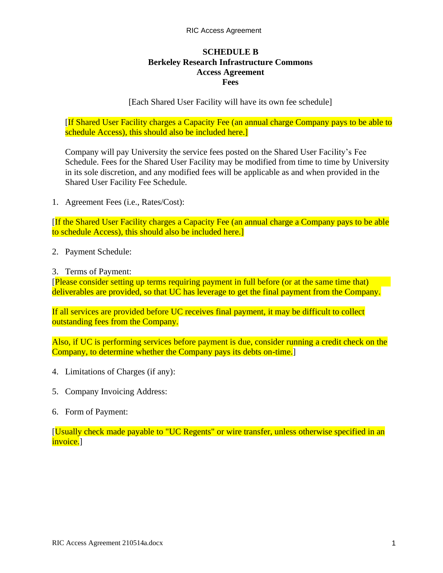# **SCHEDULE B Berkeley Research Infrastructure Commons Access Agreement Fees**

# [Each Shared User Facility will have its own fee schedule]

[If Shared User Facility charges a Capacity Fee (an annual charge Company pays to be able to schedule Access), this should also be included here.

Company will pay University the service fees posted on the Shared User Facility's Fee Schedule. Fees for the Shared User Facility may be modified from time to time by University in its sole discretion, and any modified fees will be applicable as and when provided in the Shared User Facility Fee Schedule.

1. Agreement Fees (i.e., Rates/Cost):

[If the Shared User Facility charges a Capacity Fee (an annual charge a Company pays to be able to schedule Access), this should also be included here.]

2. Payment Schedule:

3. Terms of Payment:

[Please consider setting up terms requiring payment in full before (or at the same time that) deliverables are provided, so that UC has leverage to get the final payment from the Company.

If all services are provided before UC receives final payment, it may be difficult to collect outstanding fees from the Company.

Also, if UC is performing services before payment is due, consider running a credit check on the Company, to determine whether the Company pays its debts on-time.]

- 4. Limitations of Charges (if any):
- 5. Company Invoicing Address:
- 6. Form of Payment:

[Usually check made payable to "UC Regents" or wire transfer, unless otherwise specified in an invoice.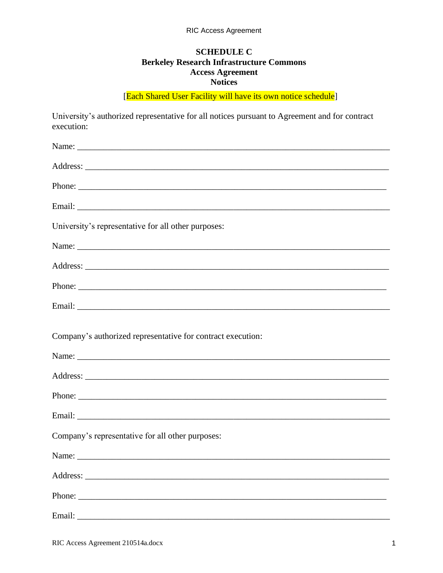# **SCHEDULE C Berkeley Research Infrastructure Commons Access Agreement Notices**

[Each Shared User Facility will have its own notice schedule]

University's authorized representative for all notices pursuant to Agreement and for contract execution:

| University's representative for all other purposes:         |
|-------------------------------------------------------------|
|                                                             |
|                                                             |
|                                                             |
|                                                             |
| Company's authorized representative for contract execution: |
|                                                             |
|                                                             |
|                                                             |
| Company's representative for all other purposes:            |
|                                                             |
|                                                             |
| Phone:                                                      |
|                                                             |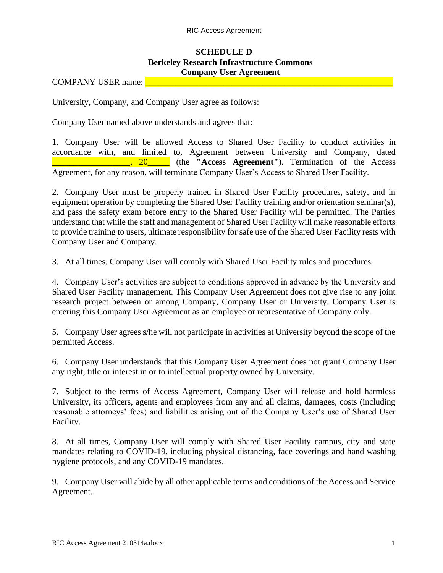# **SCHEDULE D Berkeley Research Infrastructure Commons Company User Agreement**

COMPANY USER name:

University, Company, and Company User agree as follows:

Company User named above understands and agrees that:

1. Company User will be allowed Access to Shared User Facility to conduct activities in accordance with, and limited to, Agreement between University and Company, dated \_\_\_\_\_\_\_\_\_\_\_\_\_\_\_\_\_\_, 20\_\_\_\_\_ (the **"Access Agreement"**). Termination of the Access Agreement, for any reason, will terminate Company User's Access to Shared User Facility.

2. Company User must be properly trained in Shared User Facility procedures, safety, and in equipment operation by completing the Shared User Facility training and/or orientation seminar(s), and pass the safety exam before entry to the Shared User Facility will be permitted. The Parties understand that while the staff and management of Shared User Facility will make reasonable efforts to provide training to users, ultimate responsibility for safe use of the Shared User Facility rests with Company User and Company.

3. At all times, Company User will comply with Shared User Facility rules and procedures.

4. Company User's activities are subject to conditions approved in advance by the University and Shared User Facility management. This Company User Agreement does not give rise to any joint research project between or among Company, Company User or University. Company User is entering this Company User Agreement as an employee or representative of Company only.

5. Company User agrees s/he will not participate in activities at University beyond the scope of the permitted Access.

6. Company User understands that this Company User Agreement does not grant Company User any right, title or interest in or to intellectual property owned by University.

7. Subject to the terms of Access Agreement, Company User will release and hold harmless University, its officers, agents and employees from any and all claims, damages, costs (including reasonable attorneys' fees) and liabilities arising out of the Company User's use of Shared User Facility.

8. At all times, Company User will comply with Shared User Facility campus, city and state mandates relating to COVID-19, including physical distancing, face coverings and hand washing hygiene protocols, and any COVID-19 mandates.

9. Company User will abide by all other applicable terms and conditions of the Access and Service Agreement.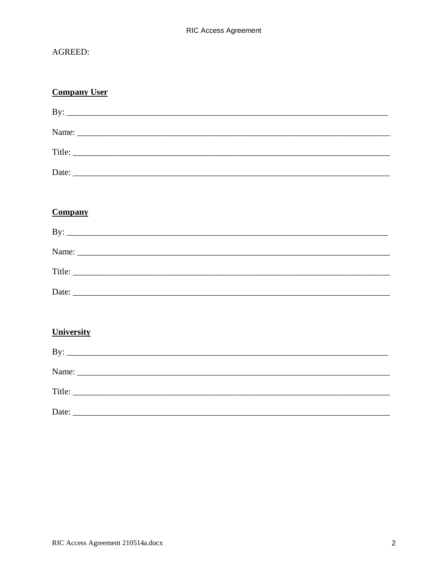# AGREED:

| <b>Company User</b>          |  |  |
|------------------------------|--|--|
| By: $\overline{\phantom{a}}$ |  |  |
|                              |  |  |
|                              |  |  |
|                              |  |  |
|                              |  |  |
| <b>Company</b>               |  |  |
| By: $\overline{\phantom{a}}$ |  |  |
|                              |  |  |
|                              |  |  |
|                              |  |  |
|                              |  |  |
| <b>University</b>            |  |  |
| By: $\overline{\phantom{a}}$ |  |  |
|                              |  |  |
| Title:                       |  |  |
|                              |  |  |